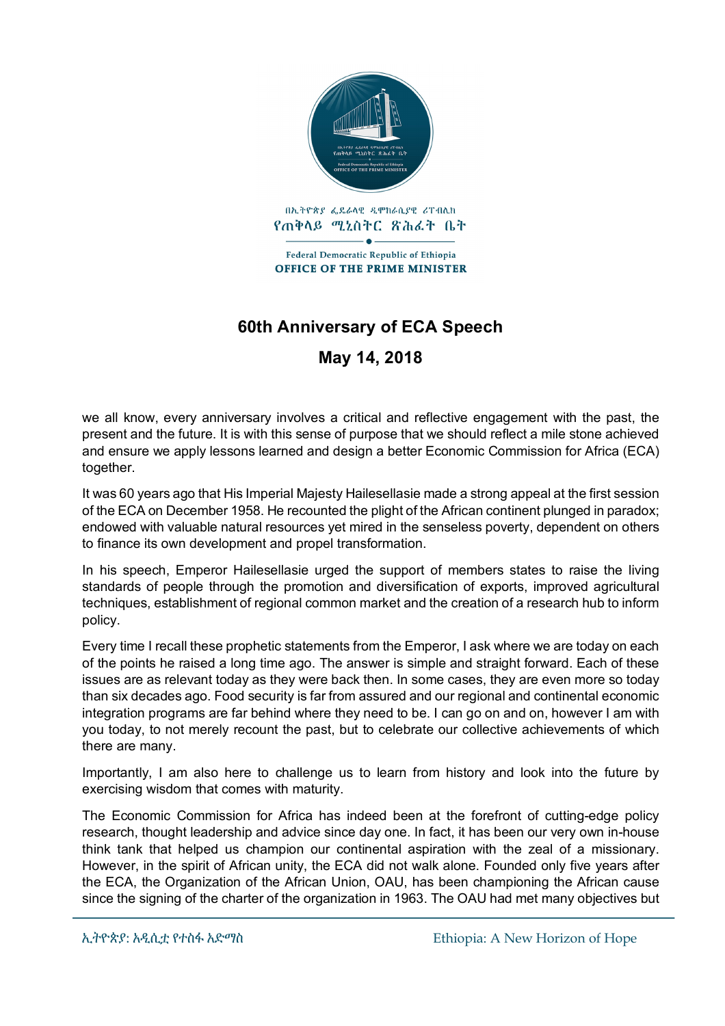

## **60th Anniversary of ECA Speech**

**May 14, 2018**

we all know, every anniversary involves a critical and reflective engagement with the past, the present and the future. It is with this sense of purpose that we should reflect a mile stone achieved and ensure we apply lessons learned and design a better Economic Commission for Africa (ECA) together.

It was 60 years ago that His Imperial Majesty Hailesellasie made a strong appeal at the first session of the ECA on December 1958. He recounted the plight of the African continent plunged in paradox; endowed with valuable natural resources yet mired in the senseless poverty, dependent on others to finance its own development and propel transformation.

In his speech, Emperor Hailesellasie urged the support of members states to raise the living standards of people through the promotion and diversification of exports, improved agricultural techniques, establishment of regional common market and the creation of a research hub to inform policy.

Every time I recall these prophetic statements from the Emperor, I ask where we are today on each of the points he raised a long time ago. The answer is simple and straight forward. Each of these issues are as relevant today as they were back then. In some cases, they are even more so today than six decades ago. Food security is far from assured and our regional and continental economic integration programs are far behind where they need to be. I can go on and on, however I am with you today, to not merely recount the past, but to celebrate our collective achievements of which there are many.

Importantly, I am also here to challenge us to learn from history and look into the future by exercising wisdom that comes with maturity.

The Economic Commission for Africa has indeed been at the forefront of cutting-edge policy research, thought leadership and advice since day one. In fact, it has been our very own in-house think tank that helped us champion our continental aspiration with the zeal of a missionary. However, in the spirit of African unity, the ECA did not walk alone. Founded only five years after the ECA, the Organization of the African Union, OAU, has been championing the African cause since the signing of the charter of the organization in 1963. The OAU had met many objectives but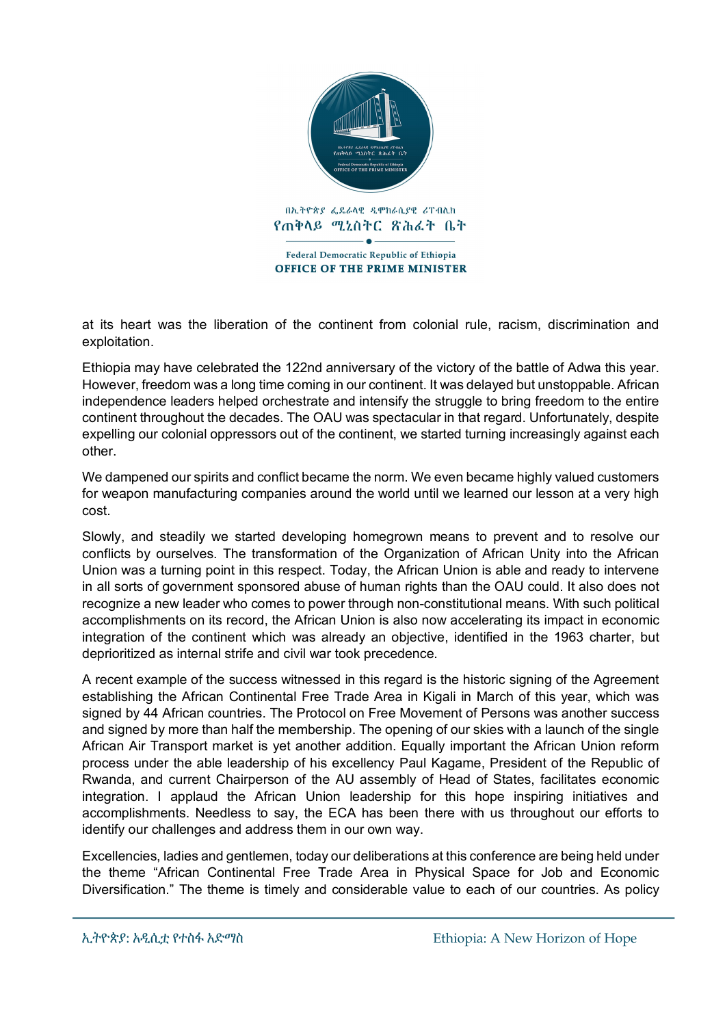

at its heart was the liberation of the continent from colonial rule, racism, discrimination and exploitation.

Ethiopia may have celebrated the 122nd anniversary of the victory of the battle of Adwa this year. However, freedom was a long time coming in our continent. It was delayed but unstoppable. African independence leaders helped orchestrate and intensify the struggle to bring freedom to the entire continent throughout the decades. The OAU was spectacular in that regard. Unfortunately, despite expelling our colonial oppressors out of the continent, we started turning increasingly against each other.

We dampened our spirits and conflict became the norm. We even became highly valued customers for weapon manufacturing companies around the world until we learned our lesson at a very high cost.

Slowly, and steadily we started developing homegrown means to prevent and to resolve our conflicts by ourselves. The transformation of the Organization of African Unity into the African Union was a turning point in this respect. Today, the African Union is able and ready to intervene in all sorts of government sponsored abuse of human rights than the OAU could. It also does not recognize a new leader who comes to power through non-constitutional means. With such political accomplishments on its record, the African Union is also now accelerating its impact in economic integration of the continent which was already an objective, identified in the 1963 charter, but deprioritized as internal strife and civil war took precedence.

A recent example of the success witnessed in this regard is the historic signing of the Agreement establishing the African Continental Free Trade Area in Kigali in March of this year, which was signed by 44 African countries. The Protocol on Free Movement of Persons was another success and signed by more than half the membership. The opening of our skies with a launch of the single African Air Transport market is yet another addition. Equally important the African Union reform process under the able leadership of his excellency Paul Kagame, President of the Republic of Rwanda, and current Chairperson of the AU assembly of Head of States, facilitates economic integration. I applaud the African Union leadership for this hope inspiring initiatives and accomplishments. Needless to say, the ECA has been there with us throughout our efforts to identify our challenges and address them in our own way.

Excellencies, ladies and gentlemen, today our deliberations at this conference are being held under the theme "African Continental Free Trade Area in Physical Space for Job and Economic Diversification." The theme is timely and considerable value to each of our countries. As policy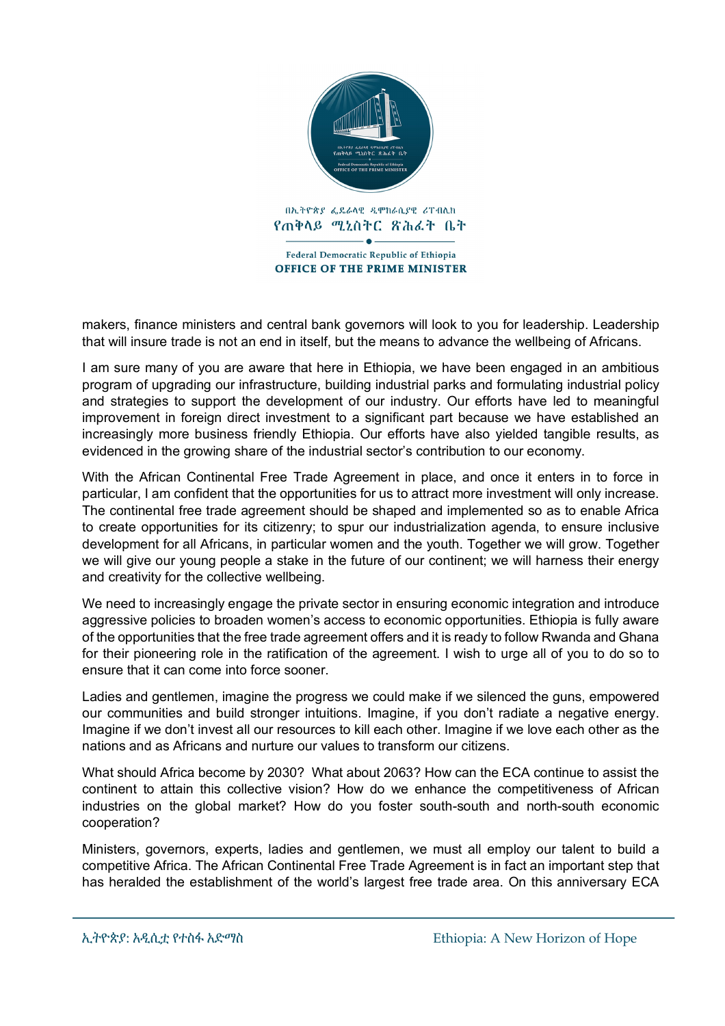

makers, finance ministers and central bank governors will look to you for leadership. Leadership that will insure trade is not an end in itself, but the means to advance the wellbeing of Africans.

I am sure many of you are aware that here in Ethiopia, we have been engaged in an ambitious program of upgrading our infrastructure, building industrial parks and formulating industrial policy and strategies to support the development of our industry. Our efforts have led to meaningful improvement in foreign direct investment to a significant part because we have established an increasingly more business friendly Ethiopia. Our efforts have also yielded tangible results, as evidenced in the growing share of the industrial sector's contribution to our economy.

With the African Continental Free Trade Agreement in place, and once it enters in to force in particular, I am confident that the opportunities for us to attract more investment will only increase. The continental free trade agreement should be shaped and implemented so as to enable Africa to create opportunities for its citizenry; to spur our industrialization agenda, to ensure inclusive development for all Africans, in particular women and the youth. Together we will grow. Together we will give our young people a stake in the future of our continent; we will harness their energy and creativity for the collective wellbeing.

We need to increasingly engage the private sector in ensuring economic integration and introduce aggressive policies to broaden women's access to economic opportunities. Ethiopia is fully aware of the opportunities that the free trade agreement offers and it is ready to follow Rwanda and Ghana for their pioneering role in the ratification of the agreement. I wish to urge all of you to do so to ensure that it can come into force sooner.

Ladies and gentlemen, imagine the progress we could make if we silenced the guns, empowered our communities and build stronger intuitions. Imagine, if you don't radiate a negative energy. Imagine if we don't invest all our resources to kill each other. Imagine if we love each other as the nations and as Africans and nurture our values to transform our citizens.

What should Africa become by 2030? What about 2063? How can the ECA continue to assist the continent to attain this collective vision? How do we enhance the competitiveness of African industries on the global market? How do you foster south-south and north-south economic cooperation?

Ministers, governors, experts, ladies and gentlemen, we must all employ our talent to build a competitive Africa. The African Continental Free Trade Agreement is in fact an important step that has heralded the establishment of the world's largest free trade area. On this anniversary ECA